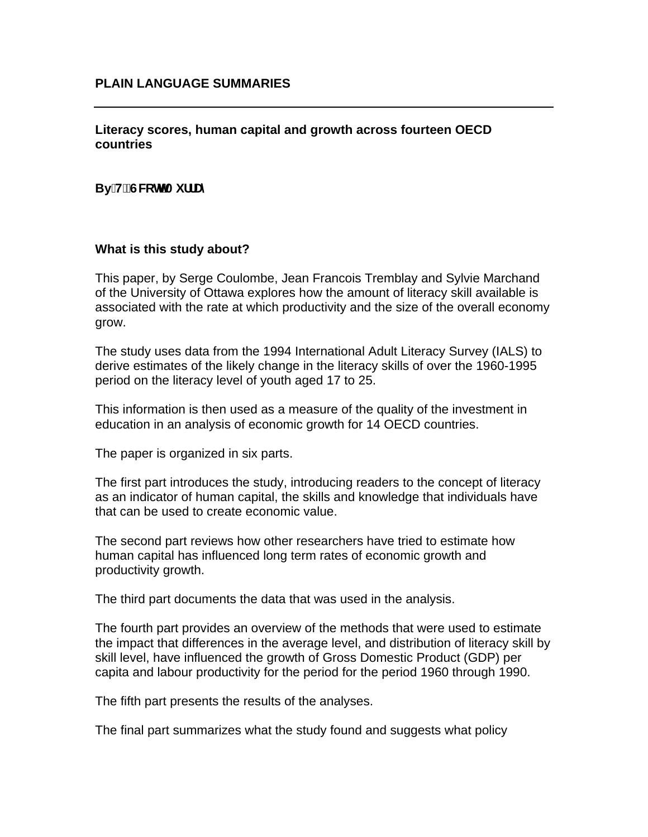## **Literacy scores, human capital and growth across fourteen OECD countries**

# By H"GWthAiffUm

## **What is this study about?**

This paper, by Serge Coulombe, Jean Francois Tremblay and Sylvie Marchand of the University of Ottawa explores how the amount of literacy skill available is associated with the rate at which productivity and the size of the overall economy grow.

The study uses data from the 1994 International Adult Literacy Survey (IALS) to derive estimates of the likely change in the literacy skills of over the 1960-1995 period on the literacy level of youth aged 17 to 25.

This information is then used as a measure of the quality of the investment in education in an analysis of economic growth for 14 OECD countries.

The paper is organized in six parts.

The first part introduces the study, introducing readers to the concept of literacy as an indicator of human capital, the skills and knowledge that individuals have that can be used to create economic value.

The second part reviews how other researchers have tried to estimate how human capital has influenced long term rates of economic growth and productivity growth.

The third part documents the data that was used in the analysis.

The fourth part provides an overview of the methods that were used to estimate the impact that differences in the average level, and distribution of literacy skill by skill level, have influenced the growth of Gross Domestic Product (GDP) per capita and labour productivity for the period for the period 1960 through 1990.

The fifth part presents the results of the analyses.

The final part summarizes what the study found and suggests what policy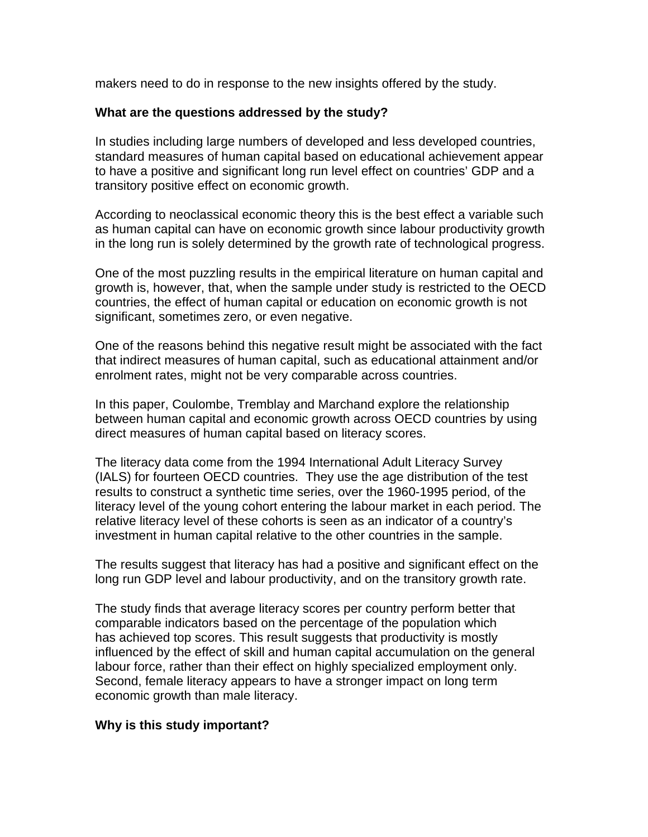makers need to do in response to the new insights offered by the study.

## **What are the questions addressed by the study?**

In studies including large numbers of developed and less developed countries, standard measures of human capital based on educational achievement appear to have a positive and significant long run level effect on countries' GDP and a transitory positive effect on economic growth.

According to neoclassical economic theory this is the best effect a variable such as human capital can have on economic growth since labour productivity growth in the long run is solely determined by the growth rate of technological progress.

One of the most puzzling results in the empirical literature on human capital and growth is, however, that, when the sample under study is restricted to the OECD countries, the effect of human capital or education on economic growth is not significant, sometimes zero, or even negative.

One of the reasons behind this negative result might be associated with the fact that indirect measures of human capital, such as educational attainment and/or enrolment rates, might not be very comparable across countries.

In this paper, Coulombe, Tremblay and Marchand explore the relationship between human capital and economic growth across OECD countries by using direct measures of human capital based on literacy scores.

The literacy data come from the 1994 International Adult Literacy Survey (IALS) for fourteen OECD countries. They use the age distribution of the test results to construct a synthetic time series, over the 1960-1995 period, of the literacy level of the young cohort entering the labour market in each period. The relative literacy level of these cohorts is seen as an indicator of a country's investment in human capital relative to the other countries in the sample.

The results suggest that literacy has had a positive and significant effect on the long run GDP level and labour productivity, and on the transitory growth rate.

The study finds that average literacy scores per country perform better that comparable indicators based on the percentage of the population which has achieved top scores. This result suggests that productivity is mostly influenced by the effect of skill and human capital accumulation on the general labour force, rather than their effect on highly specialized employment only. Second, female literacy appears to have a stronger impact on long term economic growth than male literacy.

## **Why is this study important?**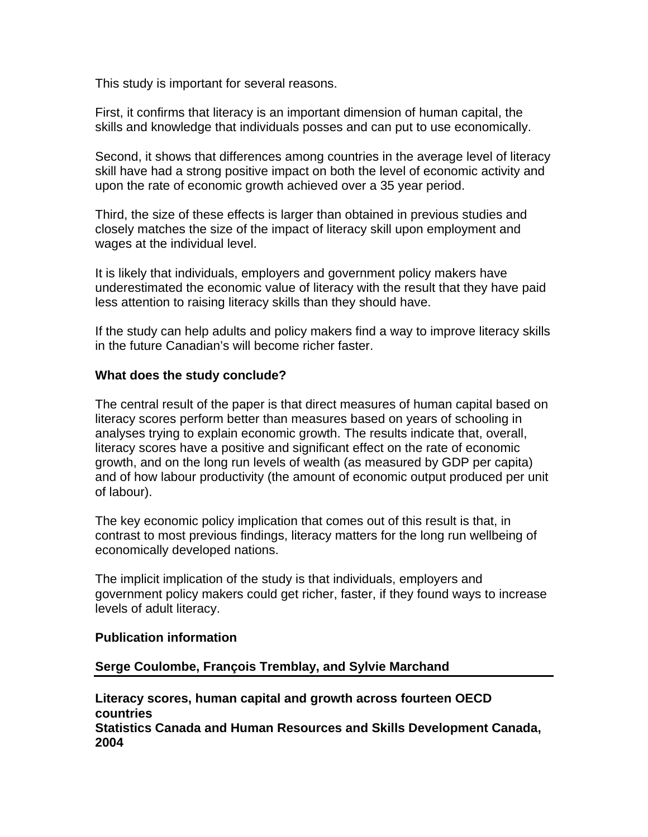This study is important for several reasons.

First, it confirms that literacy is an important dimension of human capital, the skills and knowledge that individuals posses and can put to use economically.

Second, it shows that differences among countries in the average level of literacy skill have had a strong positive impact on both the level of economic activity and upon the rate of economic growth achieved over a 35 year period.

Third, the size of these effects is larger than obtained in previous studies and closely matches the size of the impact of literacy skill upon employment and wages at the individual level.

It is likely that individuals, employers and government policy makers have underestimated the economic value of literacy with the result that they have paid less attention to raising literacy skills than they should have.

If the study can help adults and policy makers find a way to improve literacy skills in the future Canadian's will become richer faster.

## **What does the study conclude?**

The central result of the paper is that direct measures of human capital based on literacy scores perform better than measures based on years of schooling in analyses trying to explain economic growth. The results indicate that, overall, literacy scores have a positive and significant effect on the rate of economic growth, and on the long run levels of wealth (as measured by GDP per capita) and of how labour productivity (the amount of economic output produced per unit of labour).

The key economic policy implication that comes out of this result is that, in contrast to most previous findings, literacy matters for the long run wellbeing of economically developed nations.

The implicit implication of the study is that individuals, employers and government policy makers could get richer, faster, if they found ways to increase levels of adult literacy.

### **Publication information**

## **Serge Coulombe, François Tremblay, and Sylvie Marchand**

**Literacy scores, human capital and growth across fourteen OECD countries Statistics Canada and Human Resources and Skills Development Canada, 2004**